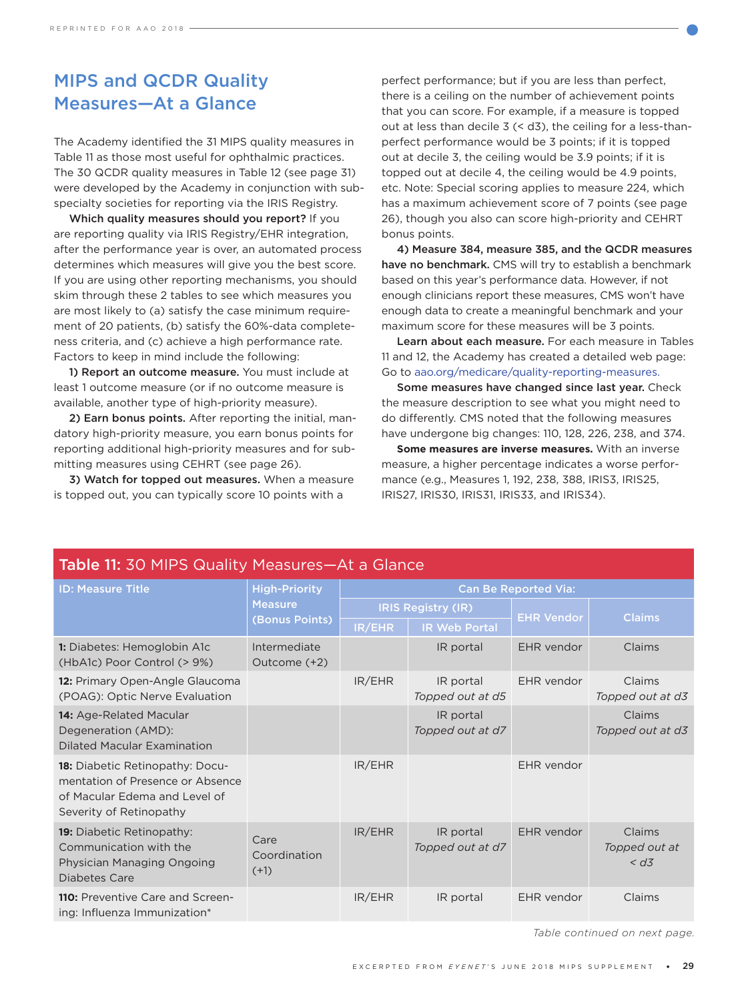## MIPS and QCDR Quality Measures—At a Glance

The Academy identified the 31 MIPS quality measures in Table 11 as those most useful for ophthalmic practices. The 30 QCDR quality measures in Table 12 (see page 31) were developed by the Academy in conjunction with subspecialty societies for reporting via the IRIS Registry.

Which quality measures should you report? If you are reporting quality via IRIS Registry/EHR integration, after the performance year is over, an automated process determines which measures will give you the best score. If you are using other reporting mechanisms, you should skim through these 2 tables to see which measures you are most likely to (a) satisfy the case minimum requirement of 20 patients, (b) satisfy the 60%-data completeness criteria, and (c) achieve a high performance rate. Factors to keep in mind include the following:

1) Report an outcome measure. You must include at least 1 outcome measure (or if no outcome measure is available, another type of high-priority measure).

2) Earn bonus points. After reporting the initial, mandatory high-priority measure, you earn bonus points for reporting additional high-priority measures and for submitting measures using CEHRT (see page 26).

3) Watch for topped out measures. When a measure is topped out, you can typically score 10 points with a

perfect performance; but if you are less than perfect, there is a ceiling on the number of achievement points that you can score. For example, if a measure is topped out at less than decile 3 (< d3), the ceiling for a less-thanperfect performance would be 3 points; if it is topped out at decile 3, the ceiling would be 3.9 points; if it is topped out at decile 4, the ceiling would be 4.9 points, etc. Note: Special scoring applies to measure 224, which has a maximum achievement score of 7 points (see page 26), though you also can score high-priority and CEHRT bonus points.

4) Measure 384, measure 385, and the QCDR measures have no benchmark. CMS will try to establish a benchmark based on this year's performance data. However, if not enough clinicians report these measures, CMS won't have enough data to create a meaningful benchmark and your maximum score for these measures will be 3 points.

Learn about each measure. For each measure in Tables 11 and 12, the Academy has created a detailed web page: Go to [aao.org/medicare/quality-reporting-measures](https://www.aao.org/medicare/quality-reporting-measures).

Some measures have changed since last year. Check the measure description to see what you might need to do differently. CMS noted that the following measures have undergone big changes: 110, 128, 226, 238, and 374.

**Some measures are inverse measures.** With an inverse measure, a higher percentage indicates a worse performance (e.g., Measures 1, 192, 238, 388, IRIS3, IRIS25, IRIS27, IRIS30, IRIS31, IRIS33, and IRIS34).

| <b>TUDIO III OU I III O GUUILLY I IUUJULUS 7 IL U OIULIUU</b>                                                                          |                                                          |                             |                               |                   |                                   |
|----------------------------------------------------------------------------------------------------------------------------------------|----------------------------------------------------------|-----------------------------|-------------------------------|-------------------|-----------------------------------|
| <b>ID: Measure Title</b>                                                                                                               | <b>High-Priority</b><br><b>Measure</b><br>(Bonus Points) | <b>Can Be Reported Via:</b> |                               |                   |                                   |
|                                                                                                                                        |                                                          | <b>IRIS Registry (IR)</b>   |                               |                   | <b>Claims</b>                     |
|                                                                                                                                        |                                                          | IR/EHR                      | <b>IR Web Portal</b>          | <b>EHR Vendor</b> |                                   |
| <b>1:</b> Diabetes: Hemoglobin A1c<br>(HbA1c) Poor Control (> 9%)                                                                      | Intermediate<br>Outcome (+2)                             |                             | IR portal                     | EHR vendor        | Claims                            |
| 12: Primary Open-Angle Glaucoma<br>(POAG): Optic Nerve Evaluation                                                                      |                                                          | IR/EHR                      | IR portal<br>Topped out at d5 | EHR vendor        | Claims<br>Topped out at d3        |
| 14: Age-Related Macular<br>Degeneration (AMD):<br><b>Dilated Macular Examination</b>                                                   |                                                          |                             | IR portal<br>Topped out at d7 |                   | <b>Claims</b><br>Topped out at d3 |
| <b>18:</b> Diabetic Retinopathy: Docu-<br>mentation of Presence or Absence<br>of Macular Edema and Level of<br>Severity of Retinopathy |                                                          | IR/EHR                      |                               | EHR vendor        |                                   |
| <b>19:</b> Diabetic Retinopathy:<br>Communication with the<br>Physician Managing Ongoing<br>Diabetes Care                              | Care<br>Coordination<br>$(+1)$                           | IR/EHR                      | IR portal<br>Topped out at d7 | EHR vendor        | Claims<br>Topped out at<br>< d3   |
| <b>110:</b> Preventive Care and Screen-<br>ing: Influenza Immunization*                                                                |                                                          | IR/EHR                      | IR portal                     | EHR vendor        | Claims                            |

## Table 11: 30 MIPS Quality Measures—At a Glance

*Table continued on next page.*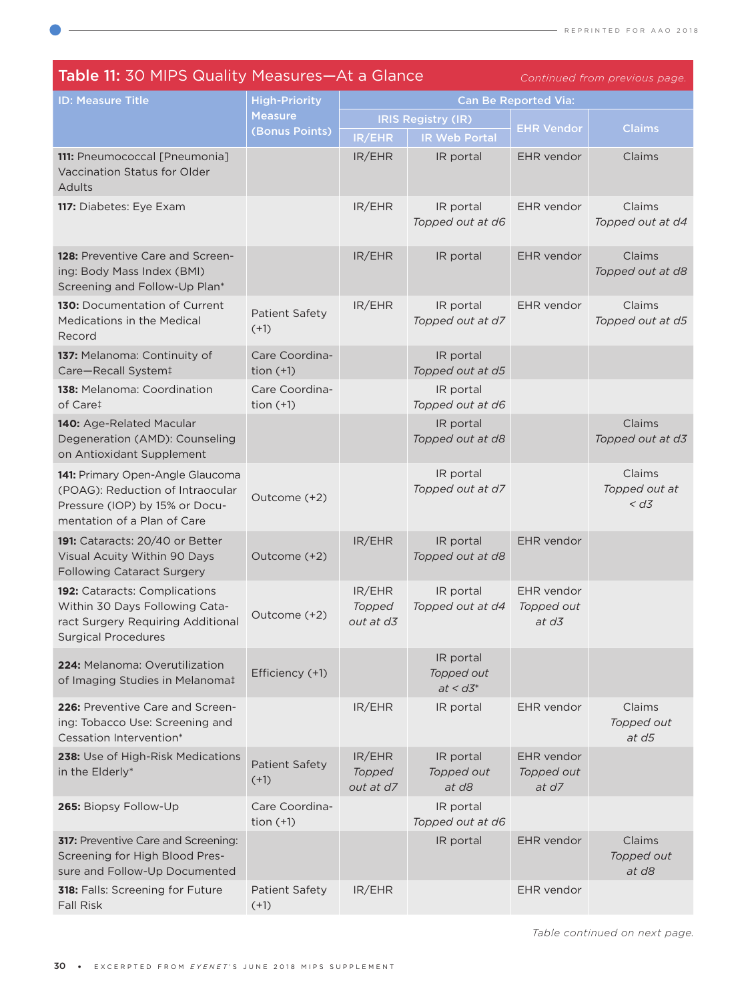| <b>Table 11: 30 MIPS Quality Measures-At a Glance</b><br>Continued from previous page.                                                |                                        |                               |                                        |                                     |                                   |
|---------------------------------------------------------------------------------------------------------------------------------------|----------------------------------------|-------------------------------|----------------------------------------|-------------------------------------|-----------------------------------|
| <b>ID: Measure Title</b>                                                                                                              | <b>High-Priority</b><br><b>Measure</b> | <b>Can Be Reported Via:</b>   |                                        |                                     |                                   |
|                                                                                                                                       |                                        | <b>IRIS Registry (IR)</b>     |                                        |                                     |                                   |
|                                                                                                                                       | (Bonus Points)                         | IR/EHR                        | <b>IR Web Portal</b>                   | <b>EHR Vendor</b>                   | <b>Claims</b>                     |
| 111: Pneumococcal [Pneumonia]<br>Vaccination Status for Older<br>Adults                                                               |                                        | IR/EHR                        | IR portal                              | EHR vendor                          | Claims                            |
| 117: Diabetes: Eye Exam                                                                                                               |                                        | IR/EHR                        | IR portal<br>Topped out at d6          | EHR vendor                          | Claims<br>Topped out at d4        |
| 128: Preventive Care and Screen-<br>ing: Body Mass Index (BMI)<br>Screening and Follow-Up Plan*                                       |                                        | IR/EHR                        | IR portal                              | EHR vendor                          | Claims<br>Topped out at d8        |
| 130: Documentation of Current<br>Medications in the Medical<br>Record                                                                 | Patient Safety<br>$(+1)$               | IR/EHR                        | IR portal<br>Topped out at d7          | EHR vendor                          | Claims<br>Topped out at d5        |
| 137: Melanoma: Continuity of<br>Care-Recall System!                                                                                   | Care Coordina-<br>tion $(+1)$          |                               | IR portal<br>Topped out at d5          |                                     |                                   |
| 138: Melanoma: Coordination<br>of Care <sup>t</sup>                                                                                   | Care Coordina-<br>tion $(+1)$          |                               | IR portal<br>Topped out at d6          |                                     |                                   |
| 140: Age-Related Macular<br>Degeneration (AMD): Counseling<br>on Antioxidant Supplement                                               |                                        |                               | IR portal<br>Topped out at d8          |                                     | Claims<br>Topped out at d3        |
| 141: Primary Open-Angle Glaucoma<br>(POAG): Reduction of Intraocular<br>Pressure (IOP) by 15% or Docu-<br>mentation of a Plan of Care | Outcome (+2)                           |                               | IR portal<br>Topped out at d7          |                                     | Claims<br>Topped out at<br>< d3   |
| 191: Cataracts: 20/40 or Better<br>Visual Acuity Within 90 Days<br><b>Following Cataract Surgery</b>                                  | Outcome (+2)                           | IR/EHR                        | IR portal<br>Topped out at d8          | EHR vendor                          |                                   |
| 192: Cataracts: Complications<br>Within 30 Days Following Cata-<br>ract Surgery Requiring Additional<br><b>Surgical Procedures</b>    | Outcome (+2)                           | IR/EHR<br>Topped<br>out at d3 | IR portal<br>Topped out at d4          | EHR vendor<br>Topped out<br>at d3   |                                   |
| 224: Melanoma: Overutilization<br>of Imaging Studies in Melanoma‡                                                                     | Efficiency (+1)                        |                               | IR portal<br>Topped out<br>$at < d3^*$ |                                     |                                   |
| 226: Preventive Care and Screen-<br>ing: Tobacco Use: Screening and<br>Cessation Intervention*                                        |                                        | IR/EHR                        | IR portal                              | EHR vendor                          | Claims<br>Topped out<br>$at$ $d5$ |
| 238: Use of High-Risk Medications<br>in the Elderly*                                                                                  | <b>Patient Safety</b><br>$(+1)$        | IR/EHR<br>Topped<br>out at d7 | IR portal<br>Topped out<br>at d8       | EHR vendor<br>Topped out<br>at $d7$ |                                   |
| 265: Biopsy Follow-Up                                                                                                                 | Care Coordina-<br>tion $(+1)$          |                               | IR portal<br>Topped out at d6          |                                     |                                   |
| <b>317:</b> Preventive Care and Screening:<br>Screening for High Blood Pres-<br>sure and Follow-Up Documented                         |                                        |                               | IR portal                              | EHR vendor                          | Claims<br>Topped out<br>at d8     |
| 318: Falls: Screening for Future<br><b>Fall Risk</b>                                                                                  | <b>Patient Safety</b><br>$(+1)$        | IR/EHR                        |                                        | EHR vendor                          |                                   |

*Table continued on next page.*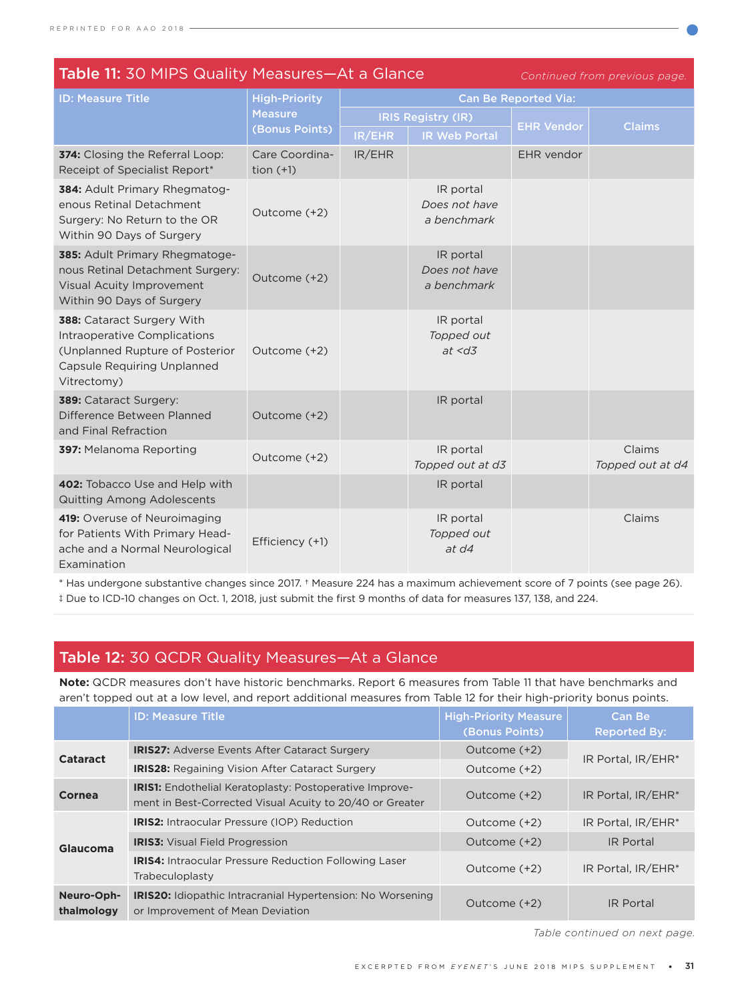| Table 11: 30 MIPS Quality Measures-At a Glance<br>Continued from previous page.                                                                    |                                                          |                             |                                           |                   |                            |
|----------------------------------------------------------------------------------------------------------------------------------------------------|----------------------------------------------------------|-----------------------------|-------------------------------------------|-------------------|----------------------------|
| <b>ID: Measure Title</b>                                                                                                                           | <b>High-Priority</b><br><b>Measure</b><br>(Bonus Points) | <b>Can Be Reported Via:</b> |                                           |                   |                            |
|                                                                                                                                                    |                                                          | <b>IRIS Registry (IR)</b>   |                                           | <b>EHR Vendor</b> | <b>Claims</b>              |
|                                                                                                                                                    |                                                          | IR/EHR                      | <b>IR Web Portal</b>                      |                   |                            |
| 374: Closing the Referral Loop:<br>Receipt of Specialist Report*                                                                                   | Care Coordina-<br>tion $(+1)$                            | IR/EHR                      |                                           | EHR vendor        |                            |
| 384: Adult Primary Rhegmatog-<br>enous Retinal Detachment<br>Surgery: No Return to the OR<br>Within 90 Days of Surgery                             | Outcome (+2)                                             |                             | IR portal<br>Does not have<br>a benchmark |                   |                            |
| 385: Adult Primary Rhegmatoge-<br>nous Retinal Detachment Surgery:<br>Visual Acuity Improvement<br>Within 90 Days of Surgery                       | Outcome (+2)                                             |                             | IR portal<br>Does not have<br>a benchmark |                   |                            |
| 388: Cataract Surgery With<br>Intraoperative Complications<br>(Unplanned Rupture of Posterior<br><b>Capsule Requiring Unplanned</b><br>Vitrectomy) | Outcome (+2)                                             |                             | IR portal<br>Topped out<br>at < d3        |                   |                            |
| 389: Cataract Surgery:<br>Difference Between Planned<br>and Final Refraction                                                                       | Outcome (+2)                                             |                             | IR portal                                 |                   |                            |
| 397: Melanoma Reporting                                                                                                                            | Outcome (+2)                                             |                             | IR portal<br>Topped out at d3             |                   | Claims<br>Topped out at d4 |
| 402: Tobacco Use and Help with<br>Quitting Among Adolescents                                                                                       |                                                          |                             | IR portal                                 |                   |                            |
| 419: Overuse of Neuroimaging<br>for Patients With Primary Head-<br>ache and a Normal Neurological<br>Examination                                   | Efficiency (+1)                                          |                             | IR portal<br>Topped out<br>at d4          |                   | Claims                     |

\* Has undergone substantive changes since 2017. † Measure 224 has a maximum achievement score of 7 points (see page 26). ‡ Due to ICD-10 changes on Oct. 1, 2018, just submit the first 9 months of data for measures 137, 138, and 224.

## Table 12: 30 QCDR Quality Measures—At a Glance

**Note:** QCDR measures don't have historic benchmarks. Report 6 measures from Table 11 that have benchmarks and aren't topped out at a low level, and report additional measures from Table 12 for their high-priority bonus points.

|                          | <b>ID: Measure Title</b>                                                                                                   | <b>High-Priority Measure</b><br>(Bonus Points) | Can Be<br><b>Reported By:</b> |  |
|--------------------------|----------------------------------------------------------------------------------------------------------------------------|------------------------------------------------|-------------------------------|--|
| <b>Cataract</b>          | <b>IRIS27: Adverse Events After Cataract Surgery</b>                                                                       | Outcome (+2)                                   | IR Portal. IR/EHR*            |  |
|                          | <b>IRIS28:</b> Regaining Vision After Cataract Surgery                                                                     | Outcome (+2)                                   |                               |  |
| Cornea                   | <b>IRIS1:</b> Endothelial Keratoplasty: Postoperative Improve-<br>ment in Best-Corrected Visual Acuity to 20/40 or Greater | Outcome (+2)                                   | IR Portal. IR/EHR*            |  |
| Glaucoma                 | <b>IRIS2:</b> Intraocular Pressure (IOP) Reduction                                                                         | Outcome (+2)                                   | IR Portal. IR/EHR*            |  |
|                          | <b>IRIS3:</b> Visual Field Progression                                                                                     | Outcome (+2)                                   | <b>IR Portal</b>              |  |
|                          | <b>IRIS4:</b> Intraocular Pressure Reduction Following Laser<br>Trabeculoplasty                                            | Outcome (+2)                                   | IR Portal, IR/EHR*            |  |
| Neuro-Oph-<br>thalmology | <b>IRIS20:</b> Idiopathic Intracranial Hypertension: No Worsening<br>or Improvement of Mean Deviation                      | Outcome (+2)                                   | <b>IR Portal</b>              |  |

*Table continued on next page.*